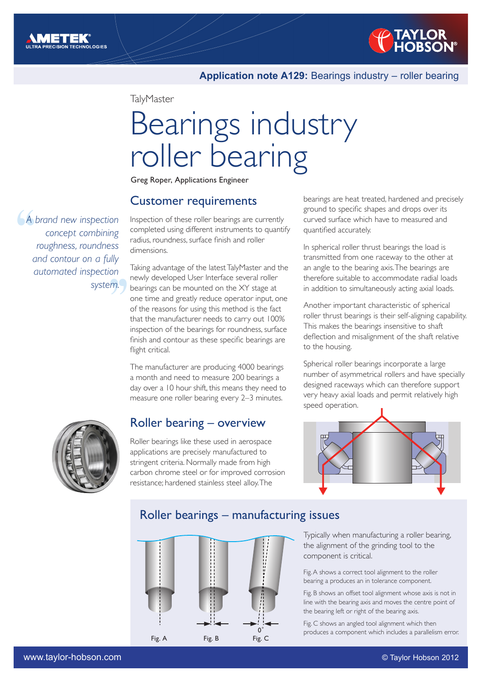

#### **Application note A129:** Bearings industry – roller bearing

**TalyMaster** 

# Bearings industry roller bearing

Greg Roper, Applications Engineer

#### Customer requirements

 $\begin{pmatrix} 4 & b \\ c & d \end{pmatrix}$ em.<br>9m. *A brand new inspection concept combining roughness, roundness and contour on a fully automated inspection system.* 

Inspection of these roller bearings are currently completed using different instruments to quantify radius, roundness, surface finish and roller dimensions.

Taking advantage of the latest TalyMaster and the newly developed User Interface several roller bearings can be mounted on the XY stage at one time and greatly reduce operator input, one of the reasons for using this method is the fact that the manufacturer needs to carry out 100% inspection of the bearings for roundness, surface finish and contour as these specific bearings are flight critical.

The manufacturer are producing 4000 bearings a month and need to measure 200 bearings a day over a 10 hour shift, this means they need to measure one roller bearing every 2–3 minutes.

### Roller bearing – overview

Roller bearings like these used in aerospace applications are precisely manufactured to stringent criteria. Normally made from high carbon chrome steel or for improved corrosion resistance; hardened stainless steel alloy. The

bearings are heat treated, hardened and precisely ground to specific shapes and drops over its curved surface which have to measured and quantified accurately.

In spherical roller thrust bearings the load is transmitted from one raceway to the other at an angle to the bearing axis. The bearings are therefore suitable to accommodate radial loads in addition to simultaneously acting axial loads.

Another important characteristic of spherical roller thrust bearings is their self-aligning capability. This makes the bearings insensitive to shaft deflection and misalignment of the shaft relative to the housing.

Spherical roller bearings incorporate a large number of asymmetrical rollers and have specially designed raceways which can therefore support very heavy axial loads and permit relatively high speed operation.



#### Roller bearings – manufacturing issues



Typically when manufacturing a roller bearing, the alignment of the grinding tool to the component is critical.

Fig. A shows a correct tool alignment to the roller bearing a produces an in tolerance component.

Fig. B shows an offset tool alignment whose axis is not in line with the bearing axis and moves the centre point of the bearing left or right of the bearing axis.

Fig. C shows an angled tool alignment which then